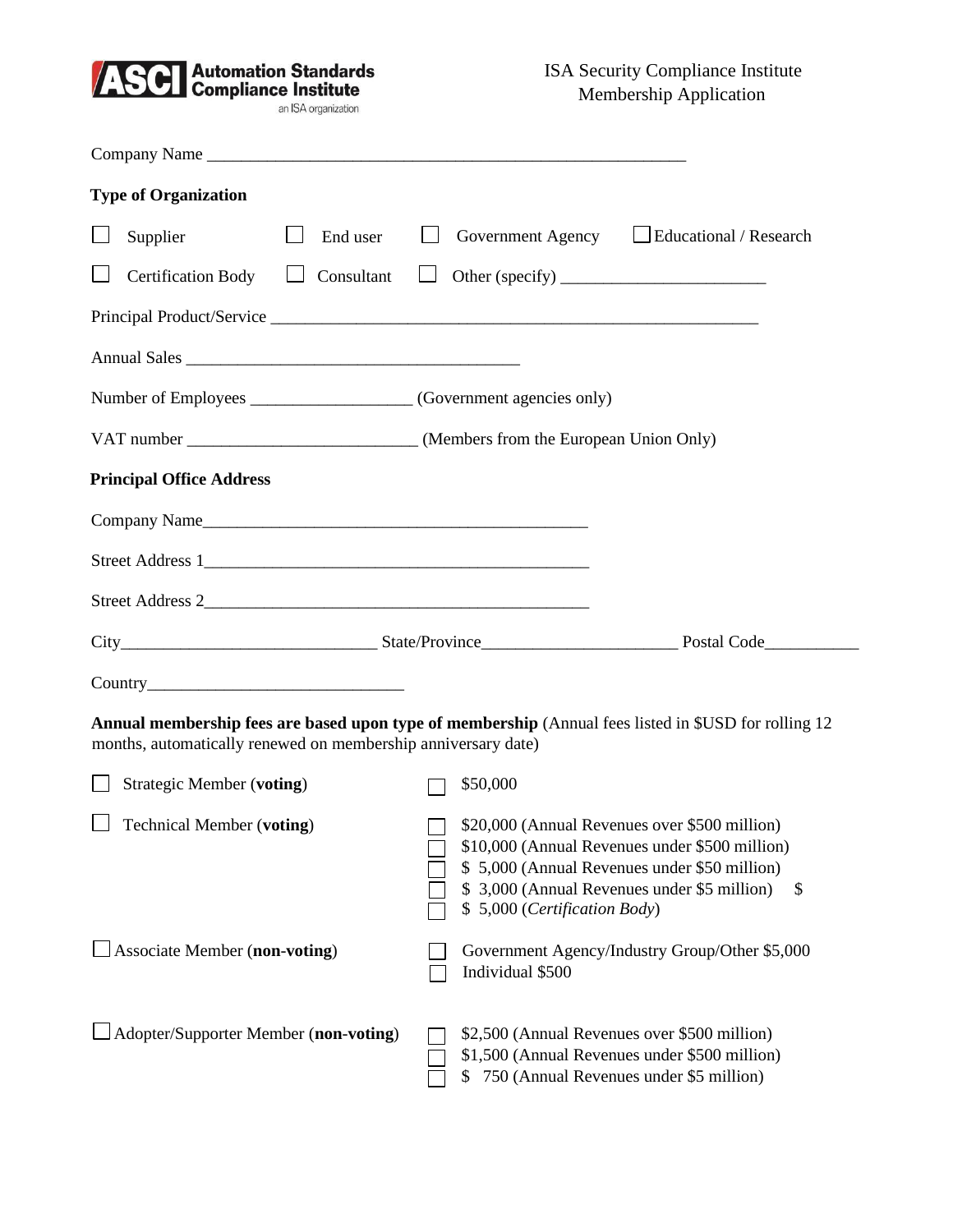

| <b>Type of Organization</b>                                                                                                                                           |                                                                                                                                                                                                                                 |    |  |  |
|-----------------------------------------------------------------------------------------------------------------------------------------------------------------------|---------------------------------------------------------------------------------------------------------------------------------------------------------------------------------------------------------------------------------|----|--|--|
| Supplier<br>End user                                                                                                                                                  | Government Agency Leducational / Research                                                                                                                                                                                       |    |  |  |
| <b>Certification Body</b><br>$\Box$ Consultant                                                                                                                        | $\Box$                                                                                                                                                                                                                          |    |  |  |
|                                                                                                                                                                       |                                                                                                                                                                                                                                 |    |  |  |
|                                                                                                                                                                       |                                                                                                                                                                                                                                 |    |  |  |
| Number of Employees _______________________ (Government agencies only)                                                                                                |                                                                                                                                                                                                                                 |    |  |  |
|                                                                                                                                                                       | VAT number _________________________________(Members from the European Union Only)                                                                                                                                              |    |  |  |
| <b>Principal Office Address</b>                                                                                                                                       |                                                                                                                                                                                                                                 |    |  |  |
|                                                                                                                                                                       |                                                                                                                                                                                                                                 |    |  |  |
|                                                                                                                                                                       |                                                                                                                                                                                                                                 |    |  |  |
|                                                                                                                                                                       |                                                                                                                                                                                                                                 |    |  |  |
|                                                                                                                                                                       |                                                                                                                                                                                                                                 |    |  |  |
|                                                                                                                                                                       |                                                                                                                                                                                                                                 |    |  |  |
| Annual membership fees are based upon type of membership (Annual fees listed in \$USD for rolling 12<br>months, automatically renewed on membership anniversary date) |                                                                                                                                                                                                                                 |    |  |  |
| <b>Strategic Member (voting)</b>                                                                                                                                      | \$50,000                                                                                                                                                                                                                        |    |  |  |
| <b>Technical Member (voting)</b>                                                                                                                                      | \$20,000 (Annual Revenues over \$500 million)<br>\$10,000 (Annual Revenues under \$500 million)<br>\$5,000 (Annual Revenues under \$50 million)<br>\$ 3,000 (Annual Revenues under \$5 million)<br>\$5,000 (Certification Body) | \$ |  |  |
| $\Box$ Associate Member (non-voting)                                                                                                                                  | Government Agency/Industry Group/Other \$5,000<br>Individual \$500                                                                                                                                                              |    |  |  |
| Adopter/Supporter Member (non-voting)                                                                                                                                 | \$2,500 (Annual Revenues over \$500 million)<br>\$1,500 (Annual Revenues under \$500 million)<br>750 (Annual Revenues under \$5 million)<br>S.                                                                                  |    |  |  |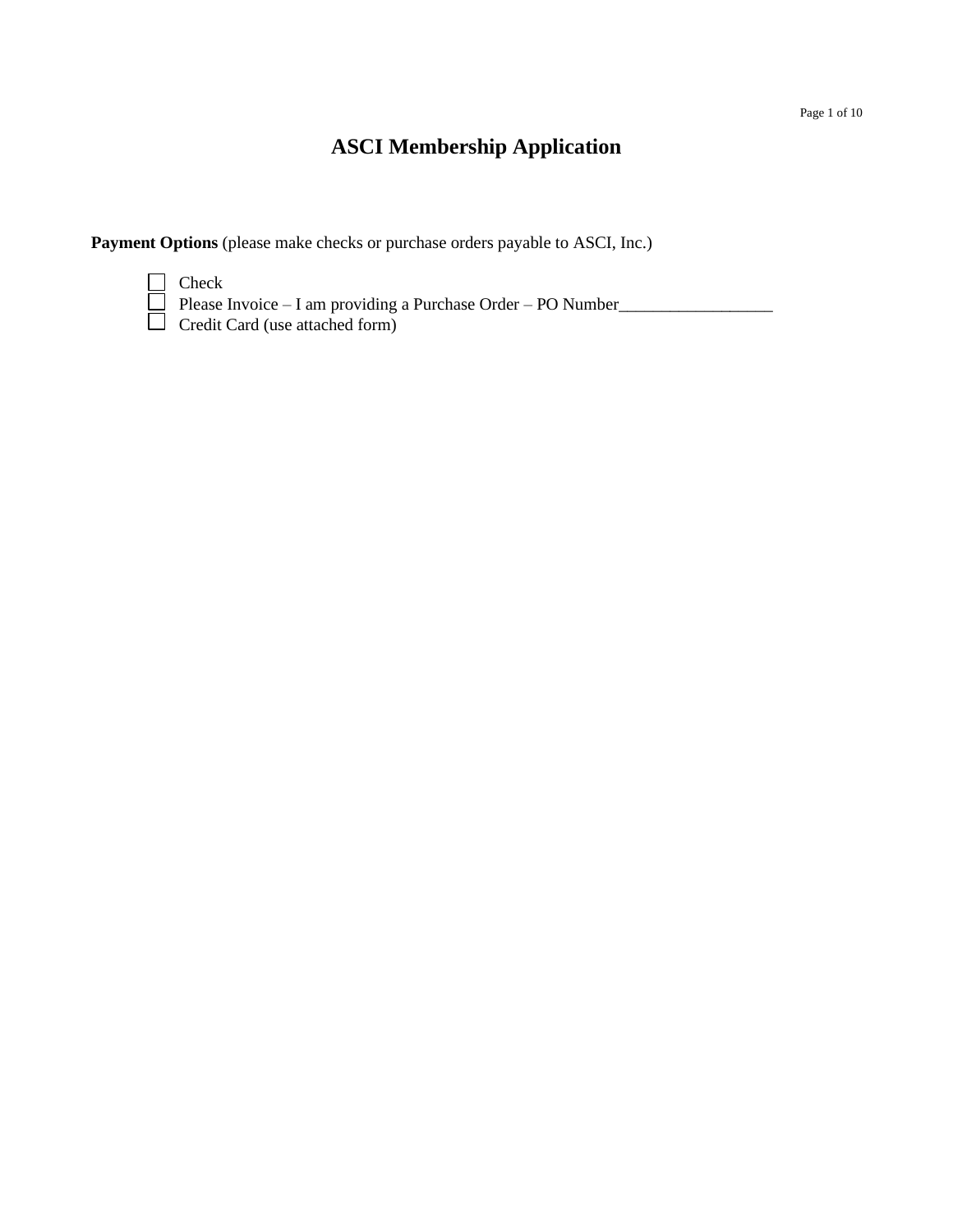# **ASCI Membership Application**

**Payment Options** (please make checks or purchase orders payable to ASCI, Inc.)

Check Please Invoice – I am providing a Purchase Order – PO Number Credit Card (use attached form)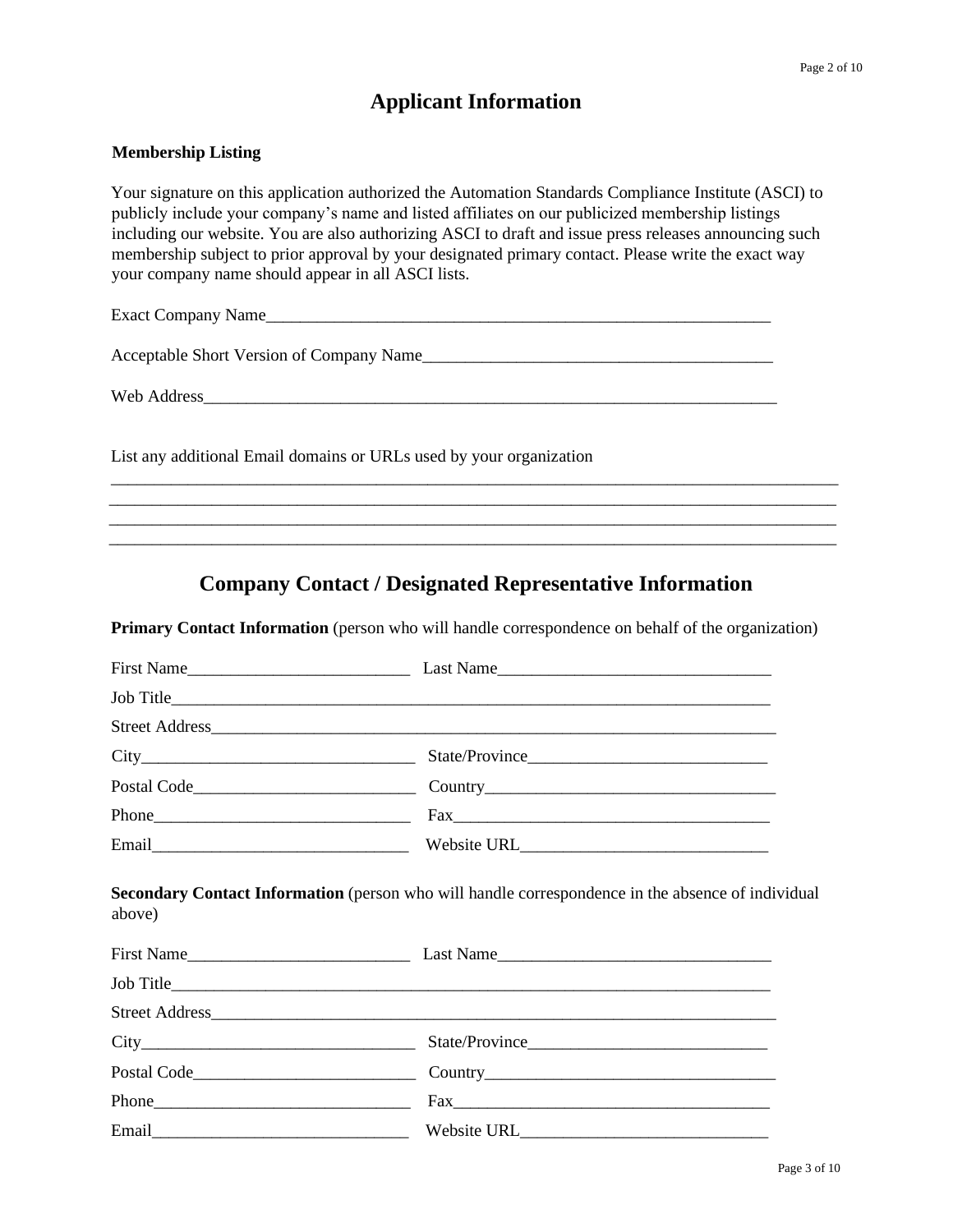## **Applicant Information**

#### **Membership Listing**

Your signature on this application authorized the Automation Standards Compliance Institute (ASCI) to publicly include your company's name and listed affiliates on our publicized membership listings including our website. You are also authorizing ASCI to draft and issue press releases announcing such membership subject to prior approval by your designated primary contact. Please write the exact way your company name should appear in all ASCI lists.

Exact Company Name\_\_\_\_\_\_\_\_\_\_\_\_\_\_\_\_\_\_\_\_\_\_\_\_\_\_\_\_\_\_\_\_\_\_\_\_\_\_\_\_\_\_\_\_\_\_\_\_\_\_\_\_\_\_\_\_\_\_\_

Acceptable Short Version of Company Name\_\_\_\_\_\_\_\_\_\_\_\_\_\_\_\_\_\_\_\_\_\_\_\_\_\_\_\_\_\_\_\_\_\_\_\_\_\_\_\_\_

Web Address\_\_\_\_\_\_\_\_\_\_\_\_\_\_\_\_\_\_\_\_\_\_\_\_\_\_\_\_\_\_\_\_\_\_\_\_\_\_\_\_\_\_\_\_\_\_\_\_\_\_\_\_\_\_\_\_\_\_\_\_\_\_\_\_\_\_\_

List any additional Email domains or URLs used by your organization

### **Company Contact / Designated Representative Information**

\_\_\_\_\_\_\_\_\_\_\_\_\_\_\_\_\_\_\_\_\_\_\_\_\_\_\_\_\_\_\_\_\_\_\_\_\_\_\_\_\_\_\_\_\_\_\_\_\_\_\_\_\_\_\_\_\_\_\_\_\_\_\_\_\_\_\_\_\_\_\_\_\_\_\_\_\_\_\_\_\_\_\_\_\_ \_\_\_\_\_\_\_\_\_\_\_\_\_\_\_\_\_\_\_\_\_\_\_\_\_\_\_\_\_\_\_\_\_\_\_\_\_\_\_\_\_\_\_\_\_\_\_\_\_\_\_\_\_\_\_\_\_\_\_\_\_\_\_\_\_\_\_\_\_\_\_\_\_\_\_\_\_\_\_\_\_\_\_\_\_ \_\_\_\_\_\_\_\_\_\_\_\_\_\_\_\_\_\_\_\_\_\_\_\_\_\_\_\_\_\_\_\_\_\_\_\_\_\_\_\_\_\_\_\_\_\_\_\_\_\_\_\_\_\_\_\_\_\_\_\_\_\_\_\_\_\_\_\_\_\_\_\_\_\_\_\_\_\_\_\_\_\_\_\_\_ \_\_\_\_\_\_\_\_\_\_\_\_\_\_\_\_\_\_\_\_\_\_\_\_\_\_\_\_\_\_\_\_\_\_\_\_\_\_\_\_\_\_\_\_\_\_\_\_\_\_\_\_\_\_\_\_\_\_\_\_\_\_\_\_\_\_\_\_\_\_\_\_\_\_\_\_\_\_\_\_\_\_\_\_\_

**Primary Contact Information** (person who will handle correspondence on behalf of the organization)

|        | Job Title    |  |
|--------|--------------|--|
|        |              |  |
|        |              |  |
|        |              |  |
|        |              |  |
|        |              |  |
| above) | First Name   |  |
|        |              |  |
|        |              |  |
|        |              |  |
|        |              |  |
|        | $\text{Fax}$ |  |
|        |              |  |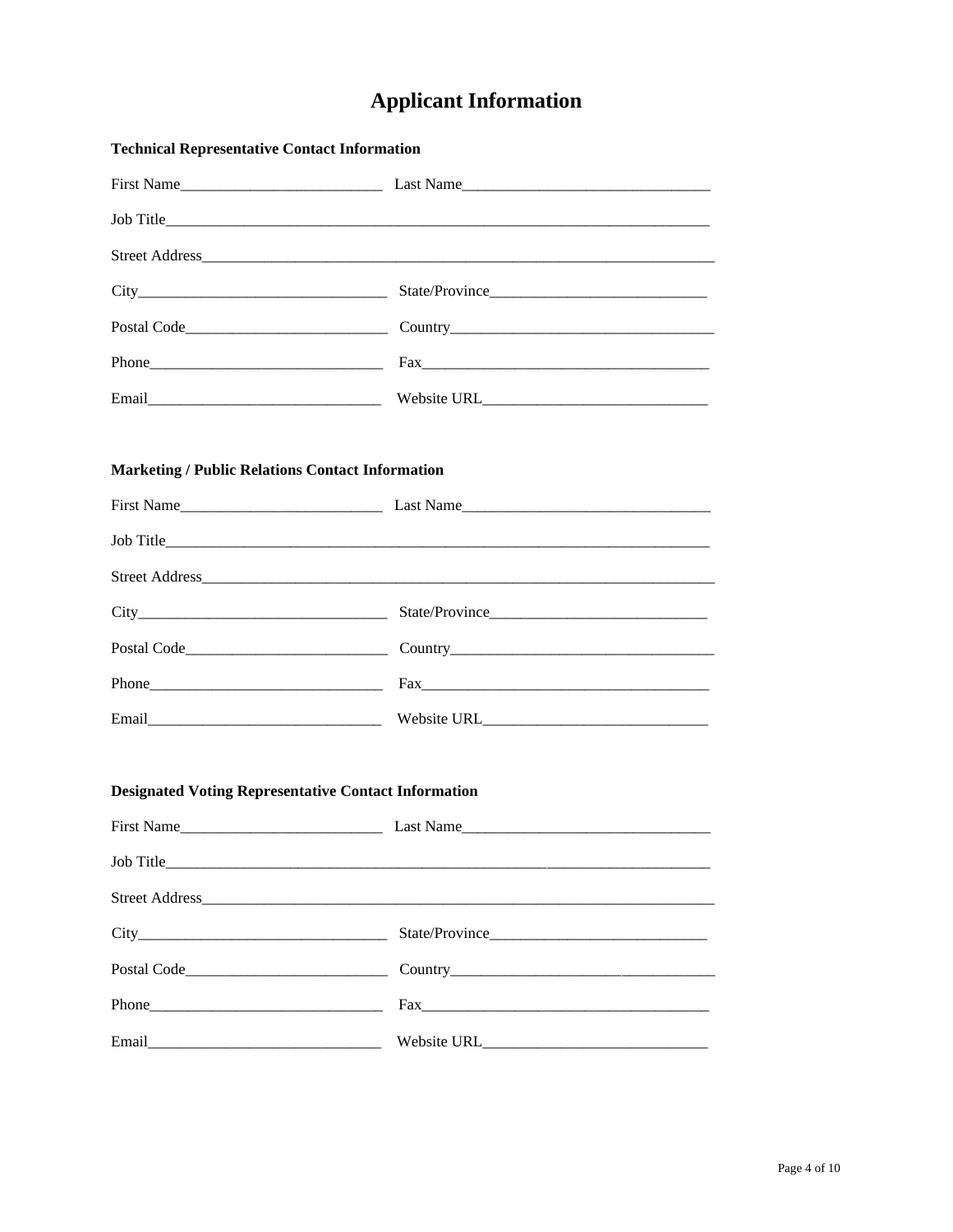# **Applicant Information**

| <b>Technical Representative Contact Information</b>         |                                                                                                                                                                                                                                     |  |  |
|-------------------------------------------------------------|-------------------------------------------------------------------------------------------------------------------------------------------------------------------------------------------------------------------------------------|--|--|
|                                                             | First Name                                                                                                                                                                                                                          |  |  |
|                                                             | Job Title <b>Example 2018</b> The Second Contract of the Second Contract of the Second Contract of the Second Contract of the Second Contract of the Second Contract of the Second Contract of the Second Contract of the Second Co |  |  |
|                                                             |                                                                                                                                                                                                                                     |  |  |
|                                                             |                                                                                                                                                                                                                                     |  |  |
|                                                             |                                                                                                                                                                                                                                     |  |  |
|                                                             |                                                                                                                                                                                                                                     |  |  |
|                                                             | Email Nebsite URL Nebsite URL 2000                                                                                                                                                                                                  |  |  |
| <b>Marketing / Public Relations Contact Information</b>     |                                                                                                                                                                                                                                     |  |  |
|                                                             |                                                                                                                                                                                                                                     |  |  |
|                                                             |                                                                                                                                                                                                                                     |  |  |
|                                                             |                                                                                                                                                                                                                                     |  |  |
|                                                             |                                                                                                                                                                                                                                     |  |  |
|                                                             |                                                                                                                                                                                                                                     |  |  |
|                                                             |                                                                                                                                                                                                                                     |  |  |
|                                                             |                                                                                                                                                                                                                                     |  |  |
| <b>Designated Voting Representative Contact Information</b> |                                                                                                                                                                                                                                     |  |  |
| <b>First Name</b>                                           | Last Name                                                                                                                                                                                                                           |  |  |
| Job Title                                                   |                                                                                                                                                                                                                                     |  |  |
|                                                             |                                                                                                                                                                                                                                     |  |  |
|                                                             | State/Province                                                                                                                                                                                                                      |  |  |
|                                                             |                                                                                                                                                                                                                                     |  |  |
|                                                             |                                                                                                                                                                                                                                     |  |  |
| Email                                                       |                                                                                                                                                                                                                                     |  |  |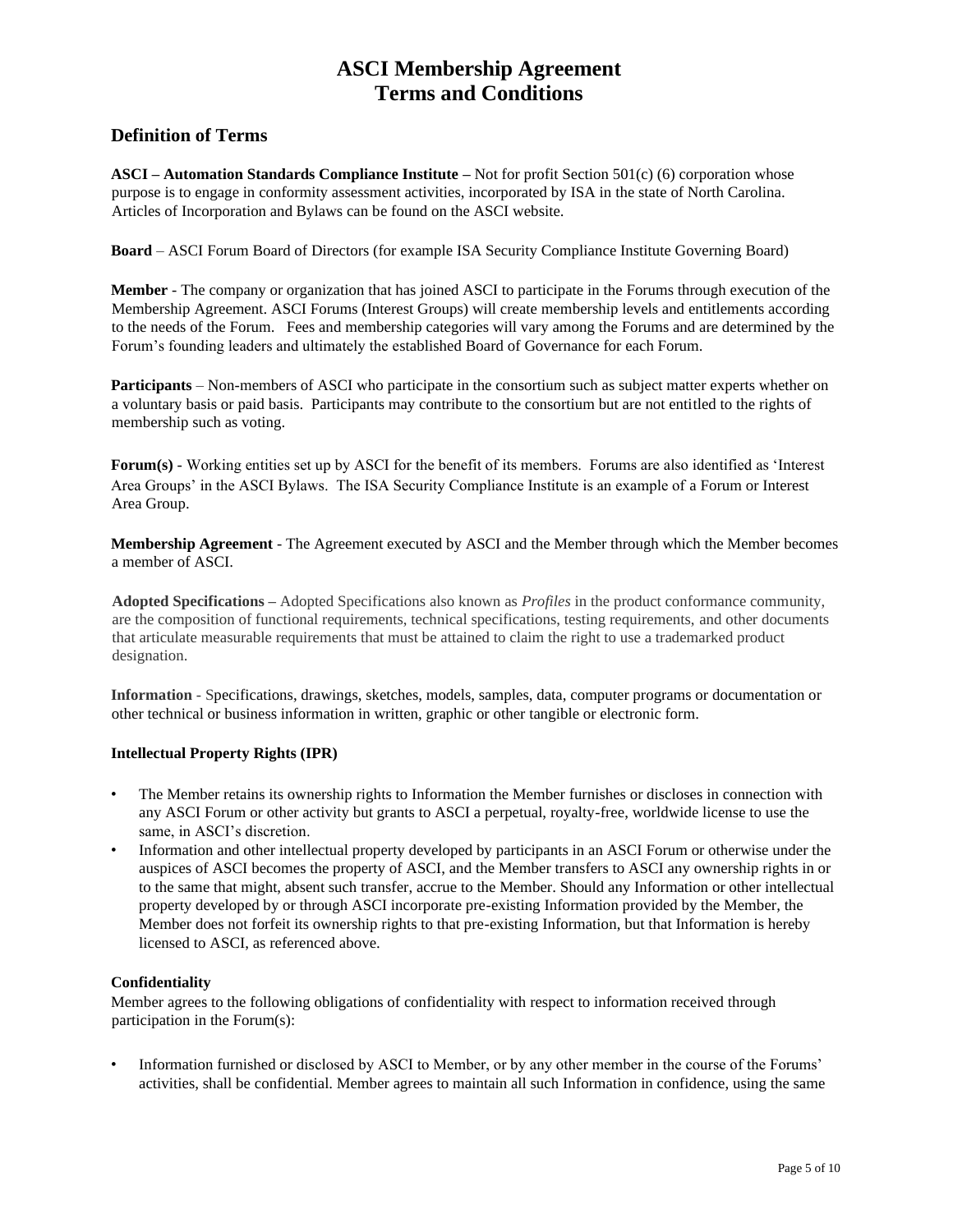### **Definition of Terms**

**ASCI – Automation Standards Compliance Institute –** Not for profit Section 501(c) (6) corporation whose purpose is to engage in conformity assessment activities, incorporated by ISA in the state of North Carolina. Articles of Incorporation and Bylaws can be found on the ASCI website.

**Board** – ASCI Forum Board of Directors (for example ISA Security Compliance Institute Governing Board)

**Member** - The company or organization that has joined ASCI to participate in the Forums through execution of the Membership Agreement. ASCI Forums (Interest Groups) will create membership levels and entitlements according to the needs of the Forum. Fees and membership categories will vary among the Forums and are determined by the Forum's founding leaders and ultimately the established Board of Governance for each Forum.

**Participants** – Non-members of ASCI who participate in the consortium such as subject matter experts whether on a voluntary basis or paid basis. Participants may contribute to the consortium but are not entitled to the rights of membership such as voting.

**Forum(s)** - Working entities set up by ASCI for the benefit of its members. Forums are also identified as 'Interest Area Groups' in the ASCI Bylaws. The ISA Security Compliance Institute is an example of a Forum or Interest Area Group.

**Membership Agreement** - The Agreement executed by ASCI and the Member through which the Member becomes a member of ASCI.

**Adopted Specifications –** Adopted Specifications also known as *Profiles* in the product conformance community, are the composition of functional requirements, technical specifications, testing requirements, and other documents that articulate measurable requirements that must be attained to claim the right to use a trademarked product designation.

**Information** - Specifications, drawings, sketches, models, samples, data, computer programs or documentation or other technical or business information in written, graphic or other tangible or electronic form.

#### **Intellectual Property Rights (IPR)**

- The Member retains its ownership rights to Information the Member furnishes or discloses in connection with any ASCI Forum or other activity but grants to ASCI a perpetual, royalty-free, worldwide license to use the same, in ASCI's discretion.
- Information and other intellectual property developed by participants in an ASCI Forum or otherwise under the auspices of ASCI becomes the property of ASCI, and the Member transfers to ASCI any ownership rights in or to the same that might, absent such transfer, accrue to the Member. Should any Information or other intellectual property developed by or through ASCI incorporate pre-existing Information provided by the Member, the Member does not forfeit its ownership rights to that pre-existing Information, but that Information is hereby licensed to ASCI, as referenced above.

#### **Confidentiality**

Member agrees to the following obligations of confidentiality with respect to information received through participation in the Forum(s):

• Information furnished or disclosed by ASCI to Member, or by any other member in the course of the Forums' activities, shall be confidential. Member agrees to maintain all such Information in confidence, using the same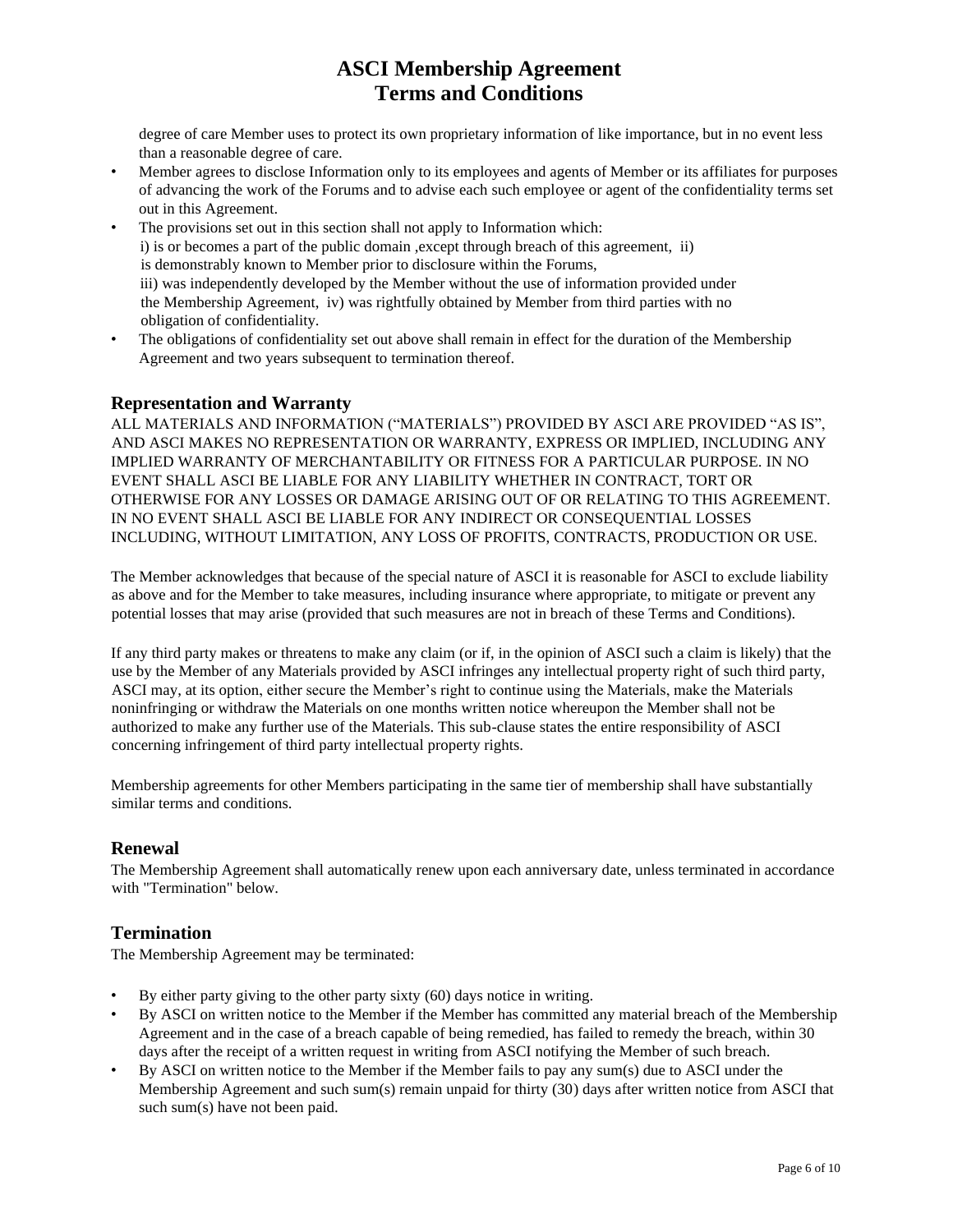degree of care Member uses to protect its own proprietary information of like importance, but in no event less than a reasonable degree of care.

- Member agrees to disclose Information only to its employees and agents of Member or its affiliates for purposes of advancing the work of the Forums and to advise each such employee or agent of the confidentiality terms set out in this Agreement.
- The provisions set out in this section shall not apply to Information which: i) is or becomes a part of the public domain ,except through breach of this agreement, ii) is demonstrably known to Member prior to disclosure within the Forums, iii) was independently developed by the Member without the use of information provided under the Membership Agreement, iv) was rightfully obtained by Member from third parties with no obligation of confidentiality.
- The obligations of confidentiality set out above shall remain in effect for the duration of the Membership Agreement and two years subsequent to termination thereof.

### **Representation and Warranty**

ALL MATERIALS AND INFORMATION ("MATERIALS") PROVIDED BY ASCI ARE PROVIDED "AS IS", AND ASCI MAKES NO REPRESENTATION OR WARRANTY, EXPRESS OR IMPLIED, INCLUDING ANY IMPLIED WARRANTY OF MERCHANTABILITY OR FITNESS FOR A PARTICULAR PURPOSE. IN NO EVENT SHALL ASCI BE LIABLE FOR ANY LIABILITY WHETHER IN CONTRACT, TORT OR OTHERWISE FOR ANY LOSSES OR DAMAGE ARISING OUT OF OR RELATING TO THIS AGREEMENT. IN NO EVENT SHALL ASCI BE LIABLE FOR ANY INDIRECT OR CONSEQUENTIAL LOSSES INCLUDING, WITHOUT LIMITATION, ANY LOSS OF PROFITS, CONTRACTS, PRODUCTION OR USE.

The Member acknowledges that because of the special nature of ASCI it is reasonable for ASCI to exclude liability as above and for the Member to take measures, including insurance where appropriate, to mitigate or prevent any potential losses that may arise (provided that such measures are not in breach of these Terms and Conditions).

If any third party makes or threatens to make any claim (or if, in the opinion of ASCI such a claim is likely) that the use by the Member of any Materials provided by ASCI infringes any intellectual property right of such third party, ASCI may, at its option, either secure the Member's right to continue using the Materials, make the Materials noninfringing or withdraw the Materials on one months written notice whereupon the Member shall not be authorized to make any further use of the Materials. This sub-clause states the entire responsibility of ASCI concerning infringement of third party intellectual property rights.

Membership agreements for other Members participating in the same tier of membership shall have substantially similar terms and conditions.

### **Renewal**

The Membership Agreement shall automatically renew upon each anniversary date, unless terminated in accordance with "Termination" below.

### **Termination**

The Membership Agreement may be terminated:

- By either party giving to the other party sixty (60) days notice in writing.
- By ASCI on written notice to the Member if the Member has committed any material breach of the Membership Agreement and in the case of a breach capable of being remedied, has failed to remedy the breach, within 30 days after the receipt of a written request in writing from ASCI notifying the Member of such breach.
- By ASCI on written notice to the Member if the Member fails to pay any sum(s) due to ASCI under the Membership Agreement and such sum(s) remain unpaid for thirty (30) days after written notice from ASCI that such sum(s) have not been paid.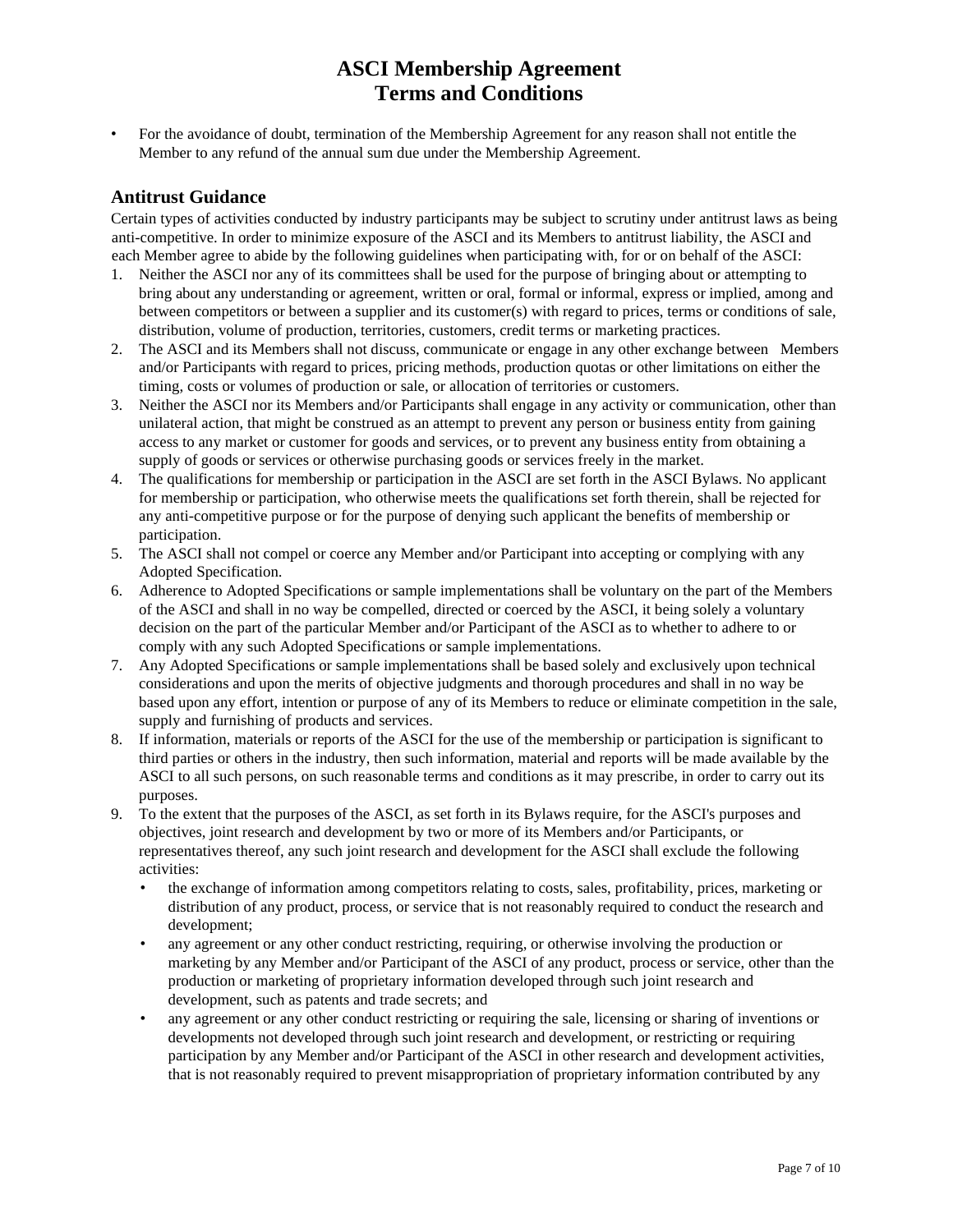• For the avoidance of doubt, termination of the Membership Agreement for any reason shall not entitle the Member to any refund of the annual sum due under the Membership Agreement.

### **Antitrust Guidance**

Certain types of activities conducted by industry participants may be subject to scrutiny under antitrust laws as being anti-competitive. In order to minimize exposure of the ASCI and its Members to antitrust liability, the ASCI and each Member agree to abide by the following guidelines when participating with, for or on behalf of the ASCI:

- 1. Neither the ASCI nor any of its committees shall be used for the purpose of bringing about or attempting to bring about any understanding or agreement, written or oral, formal or informal, express or implied, among and between competitors or between a supplier and its customer(s) with regard to prices, terms or conditions of sale, distribution, volume of production, territories, customers, credit terms or marketing practices.
- 2. The ASCI and its Members shall not discuss, communicate or engage in any other exchange between Members and/or Participants with regard to prices, pricing methods, production quotas or other limitations on either the timing, costs or volumes of production or sale, or allocation of territories or customers.
- 3. Neither the ASCI nor its Members and/or Participants shall engage in any activity or communication, other than unilateral action, that might be construed as an attempt to prevent any person or business entity from gaining access to any market or customer for goods and services, or to prevent any business entity from obtaining a supply of goods or services or otherwise purchasing goods or services freely in the market.
- 4. The qualifications for membership or participation in the ASCI are set forth in the ASCI Bylaws. No applicant for membership or participation, who otherwise meets the qualifications set forth therein, shall be rejected for any anti-competitive purpose or for the purpose of denying such applicant the benefits of membership or participation.
- 5. The ASCI shall not compel or coerce any Member and/or Participant into accepting or complying with any Adopted Specification.
- 6. Adherence to Adopted Specifications or sample implementations shall be voluntary on the part of the Members of the ASCI and shall in no way be compelled, directed or coerced by the ASCI, it being solely a voluntary decision on the part of the particular Member and/or Participant of the ASCI as to whether to adhere to or comply with any such Adopted Specifications or sample implementations.
- 7. Any Adopted Specifications or sample implementations shall be based solely and exclusively upon technical considerations and upon the merits of objective judgments and thorough procedures and shall in no way be based upon any effort, intention or purpose of any of its Members to reduce or eliminate competition in the sale, supply and furnishing of products and services.
- 8. If information, materials or reports of the ASCI for the use of the membership or participation is significant to third parties or others in the industry, then such information, material and reports will be made available by the ASCI to all such persons, on such reasonable terms and conditions as it may prescribe, in order to carry out its purposes.
- 9. To the extent that the purposes of the ASCI, as set forth in its Bylaws require, for the ASCI's purposes and objectives, joint research and development by two or more of its Members and/or Participants, or representatives thereof, any such joint research and development for the ASCI shall exclude the following activities:
	- the exchange of information among competitors relating to costs, sales, profitability, prices, marketing or distribution of any product, process, or service that is not reasonably required to conduct the research and development;
	- any agreement or any other conduct restricting, requiring, or otherwise involving the production or marketing by any Member and/or Participant of the ASCI of any product, process or service, other than the production or marketing of proprietary information developed through such joint research and development, such as patents and trade secrets; and
	- any agreement or any other conduct restricting or requiring the sale, licensing or sharing of inventions or developments not developed through such joint research and development, or restricting or requiring participation by any Member and/or Participant of the ASCI in other research and development activities, that is not reasonably required to prevent misappropriation of proprietary information contributed by any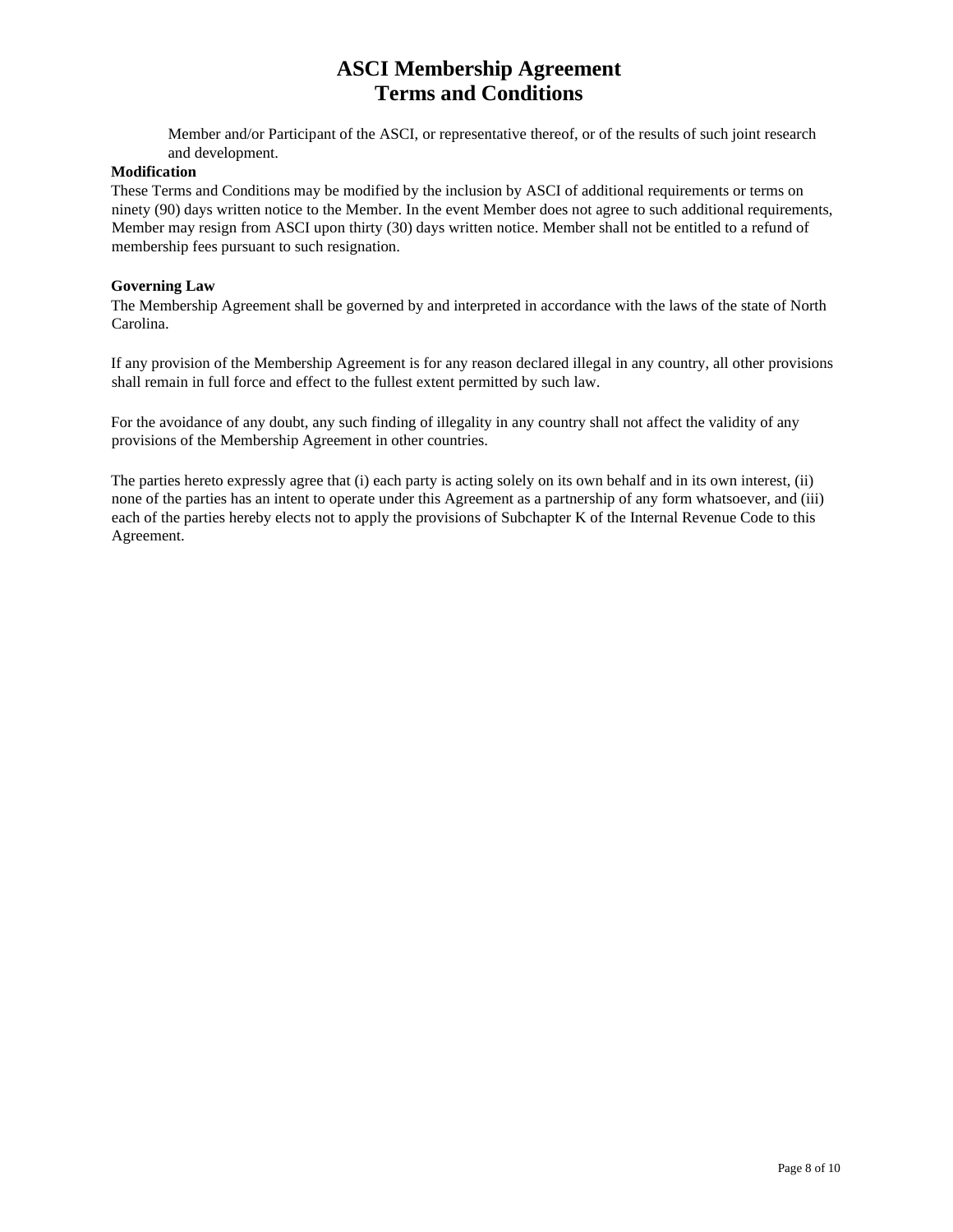Member and/or Participant of the ASCI, or representative thereof, or of the results of such joint research and development.

#### **Modification**

These Terms and Conditions may be modified by the inclusion by ASCI of additional requirements or terms on ninety (90) days written notice to the Member. In the event Member does not agree to such additional requirements, Member may resign from ASCI upon thirty (30) days written notice. Member shall not be entitled to a refund of membership fees pursuant to such resignation.

#### **Governing Law**

The Membership Agreement shall be governed by and interpreted in accordance with the laws of the state of North Carolina.

If any provision of the Membership Agreement is for any reason declared illegal in any country, all other provisions shall remain in full force and effect to the fullest extent permitted by such law.

For the avoidance of any doubt, any such finding of illegality in any country shall not affect the validity of any provisions of the Membership Agreement in other countries.

The parties hereto expressly agree that (i) each party is acting solely on its own behalf and in its own interest, (ii) none of the parties has an intent to operate under this Agreement as a partnership of any form whatsoever, and (iii) each of the parties hereby elects not to apply the provisions of Subchapter K of the Internal Revenue Code to this Agreement.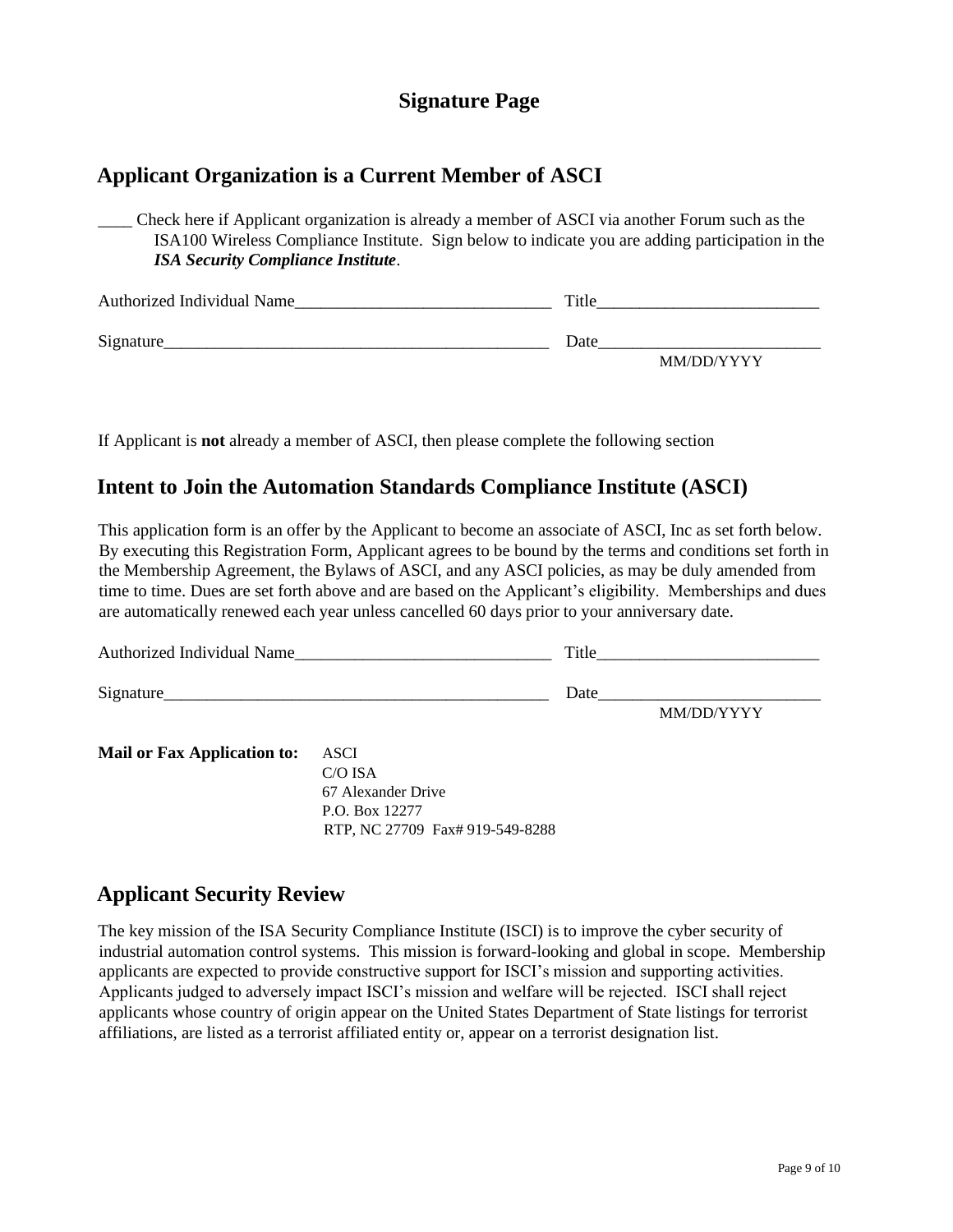### **Signature Page**

### **Applicant Organization is a Current Member of ASCI**

\_\_\_\_ Check here if Applicant organization is already a member of ASCI via another Forum such as the ISA100 Wireless Compliance Institute. Sign below to indicate you are adding participation in the *ISA Security Compliance Institute*.

| Authorized Individual Name | Title      |  |
|----------------------------|------------|--|
| Signature                  | Date       |  |
|                            | MM/DD/YYYY |  |

If Applicant is **not** already a member of ASCI, then please complete the following section

### **Intent to Join the Automation Standards Compliance Institute (ASCI)**

This application form is an offer by the Applicant to become an associate of ASCI, Inc as set forth below. By executing this Registration Form, Applicant agrees to be bound by the terms and conditions set forth in the Membership Agreement, the Bylaws of ASCI, and any ASCI policies, as may be duly amended from time to time. Dues are set forth above and are based on the Applicant's eligibility. Memberships and dues are automatically renewed each year unless cancelled 60 days prior to your anniversary date.

| Authorized Individual Name         |           | Title |            |
|------------------------------------|-----------|-------|------------|
| Signature                          |           | Date  |            |
|                                    |           |       | MM/DD/YYYY |
| <b>Mail or Fax Application to:</b> | ASCI      |       |            |
|                                    | $C/O$ ISA |       |            |

67 Alexander Drive P.O. Box 12277 RTP, NC 27709 Fax# 919-549-8288

## **Applicant Security Review**

The key mission of the ISA Security Compliance Institute (ISCI) is to improve the cyber security of industrial automation control systems. This mission is forward-looking and global in scope. Membership applicants are expected to provide constructive support for ISCI's mission and supporting activities. Applicants judged to adversely impact ISCI's mission and welfare will be rejected. ISCI shall reject applicants whose country of origin appear on the United States Department of State listings for terrorist affiliations, are listed as a terrorist affiliated entity or, appear on a terrorist designation list.